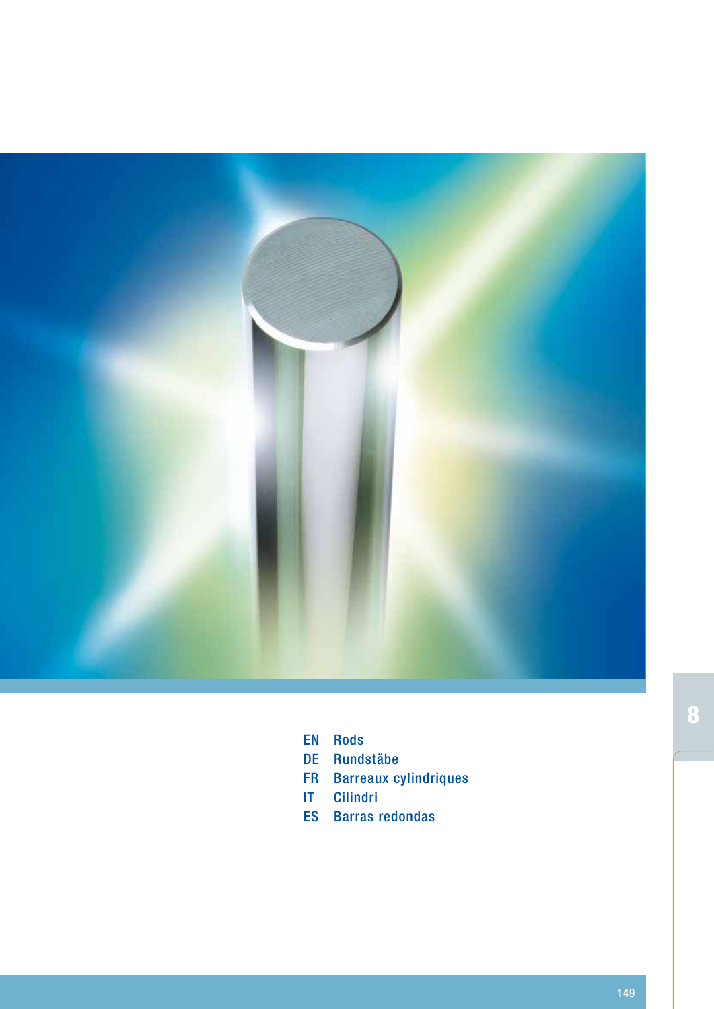

- **EN Rods**
- DE Rundstäbe
- FR Barreaux cylindriques
- Cilindri IT
- ES Barras redondas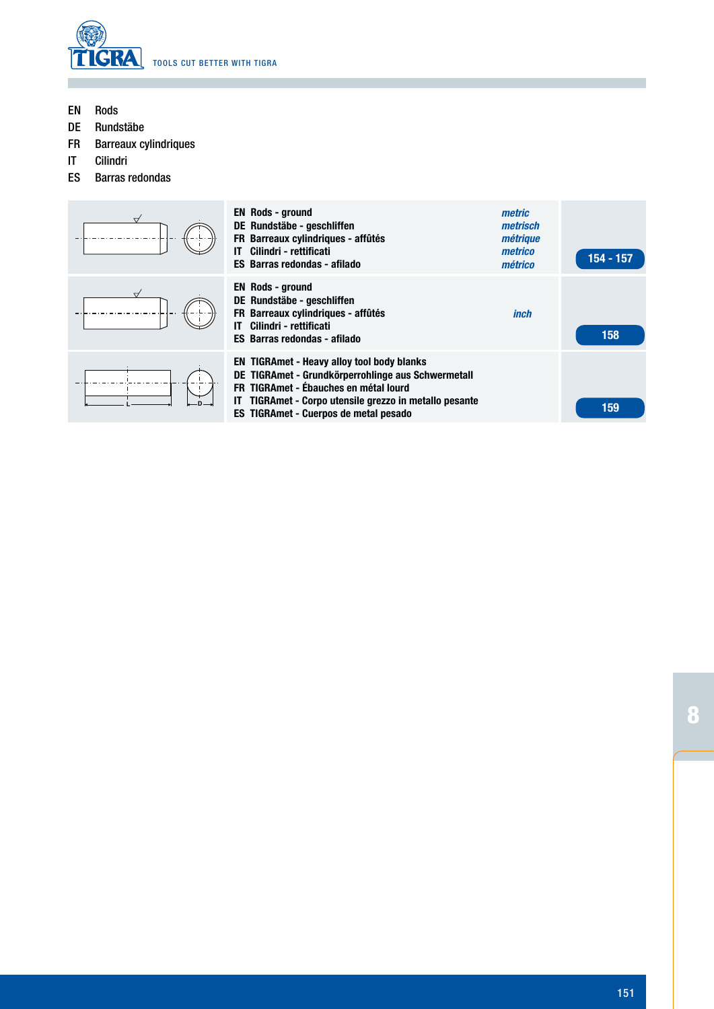

Rods EN

F

- Rundstäbe DE
- Barreaux cylindriques FR
- Cilindri IT

ES Barras redondas

| ∀                    | <b>EN Rods - ground</b><br>DE Rundstäbe - geschliffen<br>FR Barreaux cylindriques - affûtés<br>Cilindri - rettificati<br>ES Barras redondas - afilado                                                                                                   | metric<br>metrisch<br>métrique<br>metrico<br>métrico | 154 - 157 |
|----------------------|---------------------------------------------------------------------------------------------------------------------------------------------------------------------------------------------------------------------------------------------------------|------------------------------------------------------|-----------|
| $\overrightarrow{ }$ | <b>EN Rods - ground</b><br>DE Rundstäbe - geschliffen<br>FR Barreaux cylindriques - affûtés<br>Cilindri - rettificati<br>IΤ<br><b>ES Barras redondas - afilado</b>                                                                                      | inch                                                 | 158       |
|                      | <b>EN TIGRAmet - Heavy alloy tool body blanks</b><br>DE TIGRAmet - Grundkörperrohlinge aus Schwermetall<br>FR TIGRAmet - Ébauches en métal lourd<br>TIGRAmet - Corpo utensile grezzo in metallo pesante<br><b>ES TIGRAmet - Cuerpos de metal pesado</b> |                                                      | 159       |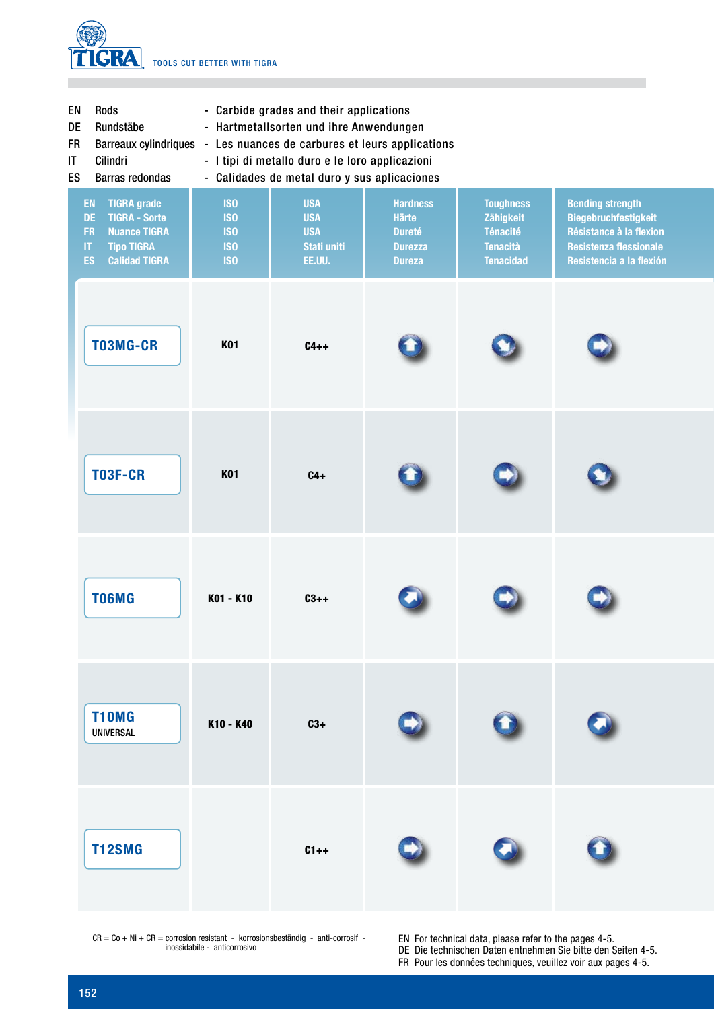

| <b>Rods</b> |  |  | - Carbide grades and their applications |
|-------------|--|--|-----------------------------------------|
|             |  |  |                                         |

- DE Rundstäbe - Hartmetallsorten und ihre Anwendungen
- FR Barreaux cylindriques - Les nuances de carbures et leurs applications
- IT Cilindri - I tipi di metallo duro e le loro applicazioni
- ES Barras redondas

EN

- Calidades de metal duro y sus aplicaciones

| EN<br><b>TIGRA grade</b><br>DE<br><b>TIGRA - Sorte</b><br>FR<br><b>Nuance TIGRA</b><br>$\boldsymbol{\Pi}$<br><b>Tipo TIGRA</b><br><b>ES</b><br><b>Calidad TIGRA</b> | <b>ISO</b><br><b>ISO</b><br><b>ISO</b><br><b>ISO</b><br><b>ISO</b> | <b>USA</b><br><b>USA</b><br><b>USA</b><br>Stati uniti<br><b>EE.UU.</b> | <b>Hardness</b><br>Härte<br><b>Dureté</b><br><b>Durezza</b><br><b>Dureza</b> | <b>Toughness</b><br>Zähigkeit<br><b>Ténacité</b><br><b>Tenacità</b><br><b>Tenacidad</b> | <b>Bending strength</b><br><b>Biegebruchfestigkeit</b><br>Résistance à la flexion<br><b>Resistenza flessionale</b><br>Resistencia a la flexión |
|---------------------------------------------------------------------------------------------------------------------------------------------------------------------|--------------------------------------------------------------------|------------------------------------------------------------------------|------------------------------------------------------------------------------|-----------------------------------------------------------------------------------------|------------------------------------------------------------------------------------------------------------------------------------------------|
| T03MG-CR                                                                                                                                                            | <b>K01</b>                                                         | $C4++$                                                                 |                                                                              |                                                                                         |                                                                                                                                                |
| <b>T03F-CR</b>                                                                                                                                                      | <b>K01</b>                                                         | $C4+$                                                                  |                                                                              |                                                                                         |                                                                                                                                                |
| T06MG                                                                                                                                                               | K01 - K10                                                          | $C3++$                                                                 |                                                                              |                                                                                         |                                                                                                                                                |
| <b>T10MG</b><br>UNIVERSAL                                                                                                                                           | K10 - K40                                                          | $C3+$                                                                  |                                                                              |                                                                                         | π                                                                                                                                              |
| <b>T12SMG</b>                                                                                                                                                       |                                                                    | $C1++$                                                                 |                                                                              |                                                                                         |                                                                                                                                                |

 $CR = Co + Ni + CR =$  corrosion resistant - korrosionsbeständig - anti-corrosif inossidabile - anticorrosivo

For technical data, please refer to the pages 4-5. EN

DE Die technischen Daten entnehmen Sie bitte den Seiten 4-5.

FR Pour les données techniques, veuillez voir aux pages 4-5.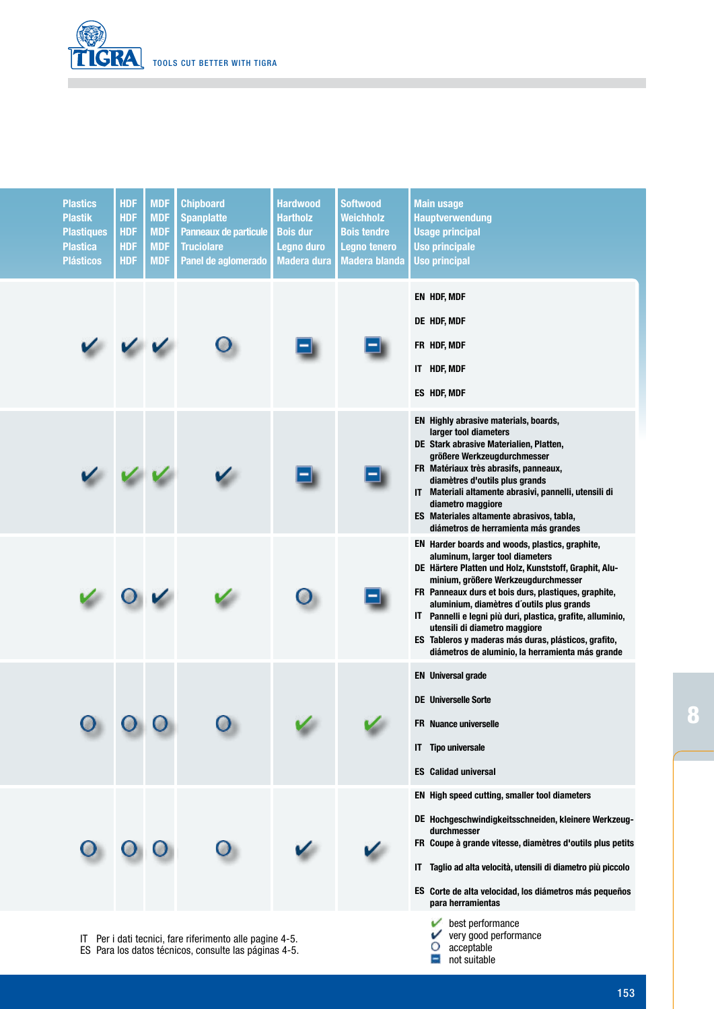

| <b>Plastics</b><br><b>Plastik</b><br><b>Plastiques</b><br><b>Plastica</b><br><b>Plásticos</b> | <b>HDF</b><br><b>HDF</b><br><b>HDF</b><br><b>HDF</b><br><b>HDF</b> | <b>MDF</b><br><b>MDF</b><br><b>MDF</b><br><b>MDF</b><br><b>MDF</b> | <b>Chipboard</b><br><b>Spanplatte</b><br>Panneaux de particule<br><b>Truciolare</b><br>Panel de aglomerado | <b>Hardwood</b><br>Hartholz<br><b>Bois dur</b><br><b>Legno duro</b><br><b>Madera dura</b> | <b>Softwood</b><br><b>Weichholz</b><br><b>Bois tendre</b><br>Legno tenero<br><b>Madera blanda</b> | <b>Main usage</b><br><b>Hauptverwendung</b><br><b>Usage principal</b><br><b>Uso principale</b><br><b>Uso principal</b>                                                                                                                                                                                                                                                                                                                                                                               |
|-----------------------------------------------------------------------------------------------|--------------------------------------------------------------------|--------------------------------------------------------------------|------------------------------------------------------------------------------------------------------------|-------------------------------------------------------------------------------------------|---------------------------------------------------------------------------------------------------|------------------------------------------------------------------------------------------------------------------------------------------------------------------------------------------------------------------------------------------------------------------------------------------------------------------------------------------------------------------------------------------------------------------------------------------------------------------------------------------------------|
|                                                                                               |                                                                    |                                                                    |                                                                                                            |                                                                                           |                                                                                                   | EN HDF, MDF<br>DE HDF, MDF<br>FR HDF, MDF<br>IT HDF, MDF<br>ES HDF, MDF                                                                                                                                                                                                                                                                                                                                                                                                                              |
|                                                                                               |                                                                    |                                                                    |                                                                                                            |                                                                                           |                                                                                                   | EN Highly abrasive materials, boards,<br>larger tool diameters<br>DE Stark abrasive Materialien, Platten,<br>größere Werkzeugdurchmesser<br>FR Matériaux très abrasifs, panneaux,<br>diamètres d'outils plus grands<br>IT Materiali altamente abrasivi, pannelli, utensili di<br>diametro maggiore<br>ES Materiales altamente abrasivos, tabla,<br>diámetros de herramienta más grandes                                                                                                              |
|                                                                                               |                                                                    |                                                                    |                                                                                                            |                                                                                           |                                                                                                   | EN Harder boards and woods, plastics, graphite,<br>aluminum, larger tool diameters<br>DE Härtere Platten und Holz, Kunststoff, Graphit, Alu-<br>minium, größere Werkzeugdurchmesser<br>FR Panneaux durs et bois durs, plastiques, graphite,<br>aluminium, diamètres d'outils plus grands<br>IT Pannelli e legni più duri, plastica, grafite, alluminio,<br>utensili di diametro maggiore<br>ES Tableros y maderas más duras, plásticos, grafito,<br>diámetros de aluminio, la herramienta más grande |
|                                                                                               |                                                                    |                                                                    |                                                                                                            |                                                                                           |                                                                                                   | <b>EN</b> Universal grade<br><b>DE</b> Universelle Sorte<br><b>FR</b> Nuance universelle<br><b>IT</b> Tipo universale<br><b>ES</b> Calidad universal                                                                                                                                                                                                                                                                                                                                                 |
|                                                                                               |                                                                    |                                                                    |                                                                                                            |                                                                                           |                                                                                                   | EN High speed cutting, smaller tool diameters<br>DE Hochgeschwindigkeitsschneiden, kleinere Werkzeug-<br>durchmesser<br>FR Coupe à grande vitesse, diamètres d'outils plus petits<br>IT Taglio ad alta velocità, utensili di diametro più piccolo<br>ES Corte de alta velocidad, los diámetros más pequeños<br>para herramientas                                                                                                                                                                     |

Per i dati tecnici, fare riferimento alle pagine 4-5. IT

Para los datos técnicos, consulte las páginas 4-5. ES

- best performance very good performance
- acceptable
- $\Box$  not suitable

8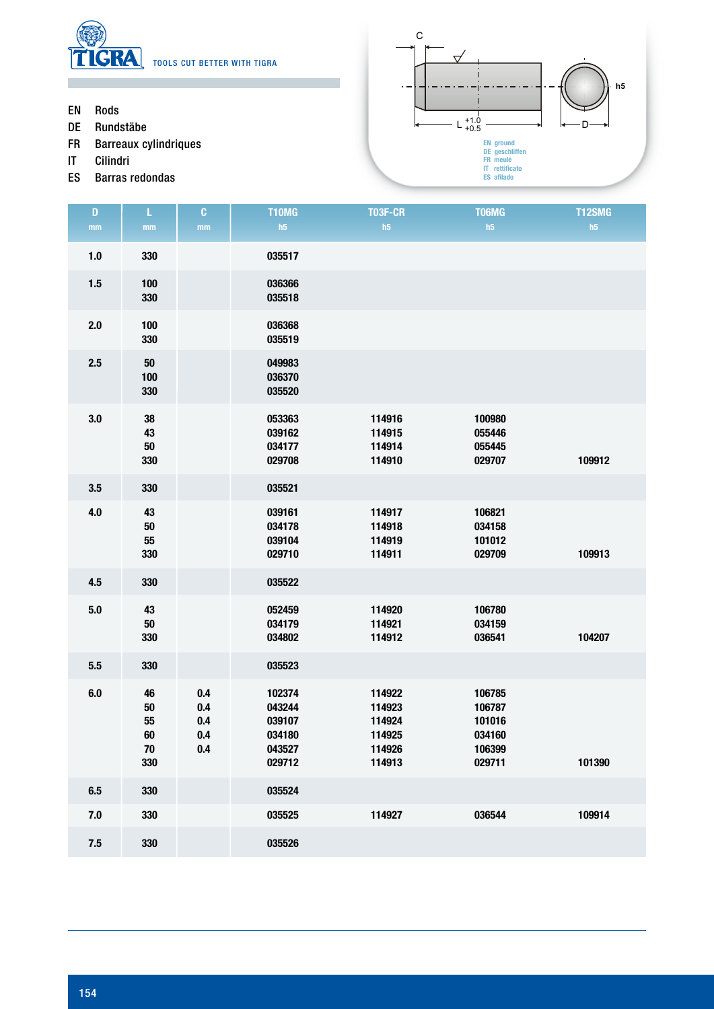

- Rods EN
- Rundstäbe DE
- Barreaux cylindriques FR
- Cilindri IT
- Barras redondas ES



| $\mathbf D$   | L                                         | $\mathbf{C}$                    | T10MG                                                    | <b>T03F-CR</b>                                           | T06MG                                                    | T12SMG |
|---------------|-------------------------------------------|---------------------------------|----------------------------------------------------------|----------------------------------------------------------|----------------------------------------------------------|--------|
| $\mathbf{mm}$ | mm                                        | mm                              | h5                                                       | h5                                                       | h5                                                       | h5     |
| $1.0$         | 330                                       |                                 | 035517                                                   |                                                          |                                                          |        |
| $1.5\,$       | 100<br>330                                |                                 | 036366<br>035518                                         |                                                          |                                                          |        |
| 2.0           | 100<br>330                                |                                 | 036368<br>035519                                         |                                                          |                                                          |        |
| 2.5           | ${\bf 50}$<br>100<br>330                  |                                 | 049983<br>036370<br>035520                               |                                                          |                                                          |        |
| 3.0           | ${\bf 38}$<br>43<br>50<br>330             |                                 | 053363<br>039162<br>034177<br>029708                     | 114916<br>114915<br>114914<br>114910                     | 100980<br>055446<br>055445<br>029707                     | 109912 |
| 3.5           | 330                                       |                                 | 035521                                                   |                                                          |                                                          |        |
| 4.0           | 43<br>$50\,$<br>55<br>330                 |                                 | 039161<br>034178<br>039104<br>029710                     | 114917<br>114918<br>114919<br>114911                     | 106821<br>034158<br>101012<br>029709                     | 109913 |
| 4.5           | 330                                       |                                 | 035522                                                   |                                                          |                                                          |        |
| 5.0           | 43<br>${\bf 50}$<br>330                   |                                 | 052459<br>034179<br>034802                               | 114920<br>114921<br>114912                               | 106780<br>034159<br>036541                               | 104207 |
| 5.5           | 330                                       |                                 | 035523                                                   |                                                          |                                                          |        |
| 6.0           | 46<br>$50\,$<br>55<br>60<br>$70\,$<br>330 | 0.4<br>0.4<br>0.4<br>0.4<br>0.4 | 102374<br>043244<br>039107<br>034180<br>043527<br>029712 | 114922<br>114923<br>114924<br>114925<br>114926<br>114913 | 106785<br>106787<br>101016<br>034160<br>106399<br>029711 | 101390 |
| 6.5           | 330                                       |                                 | 035524                                                   |                                                          |                                                          |        |
| $7.0$         | 330                                       |                                 | 035525                                                   | 114927                                                   | 036544                                                   | 109914 |
| 7.5           | 330                                       |                                 | 035526                                                   |                                                          |                                                          |        |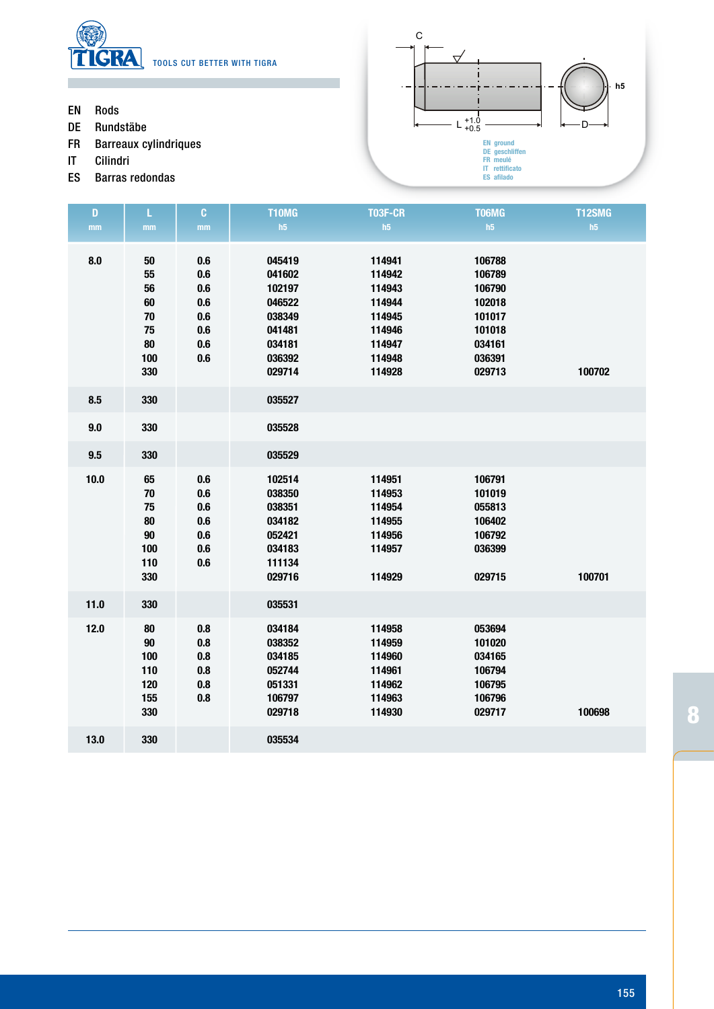

- Rods EN
- Rundstäbe DE
- Barreaux cylindriques FR
- Cilindri IT
- Barras redondas ES



| $\mathbf{D}$ | L                                                            | $\mathbf{C}$                                         | <b>T10MG</b>                                                                           | <b>T03F-CR</b>                                                                         | T06MG                                                                                  | <b>T12SMG</b> |
|--------------|--------------------------------------------------------------|------------------------------------------------------|----------------------------------------------------------------------------------------|----------------------------------------------------------------------------------------|----------------------------------------------------------------------------------------|---------------|
| mm           | mm                                                           | $\mathbf{mm}$                                        | h5                                                                                     | h5                                                                                     | h5                                                                                     | h5            |
| 8.0          | $50\,$<br>55<br>56<br>60<br>$70\,$<br>75<br>80<br>100<br>330 | 0.6<br>0.6<br>0.6<br>0.6<br>0.6<br>0.6<br>0.6<br>0.6 | 045419<br>041602<br>102197<br>046522<br>038349<br>041481<br>034181<br>036392<br>029714 | 114941<br>114942<br>114943<br>114944<br>114945<br>114946<br>114947<br>114948<br>114928 | 106788<br>106789<br>106790<br>102018<br>101017<br>101018<br>034161<br>036391<br>029713 | 100702        |
| 8.5          | 330                                                          |                                                      | 035527                                                                                 |                                                                                        |                                                                                        |               |
| 9.0          | 330                                                          |                                                      | 035528                                                                                 |                                                                                        |                                                                                        |               |
| 9.5          | 330                                                          |                                                      | 035529                                                                                 |                                                                                        |                                                                                        |               |
| 10.0         | 65<br>70<br>75<br>80<br>$90\,$<br>100<br>110<br>330          | 0.6<br>0.6<br>0.6<br>0.6<br>0.6<br>0.6<br>0.6        | 102514<br>038350<br>038351<br>034182<br>052421<br>034183<br>111134<br>029716           | 114951<br>114953<br>114954<br>114955<br>114956<br>114957<br>114929                     | 106791<br>101019<br>055813<br>106402<br>106792<br>036399<br>029715                     | 100701        |
| $11.0$       | 330                                                          |                                                      | 035531                                                                                 |                                                                                        |                                                                                        |               |
| 12.0         | 80<br>$90\,$<br>100<br>110<br>120<br>155<br>330              | 0.8<br>0.8<br>0.8<br>0.8<br>0.8<br>0.8               | 034184<br>038352<br>034185<br>052744<br>051331<br>106797<br>029718                     | 114958<br>114959<br>114960<br>114961<br>114962<br>114963<br>114930                     | 053694<br>101020<br>034165<br>106794<br>106795<br>106796<br>029717                     | 100698        |
| 13.0         | 330                                                          |                                                      | 035534                                                                                 |                                                                                        |                                                                                        |               |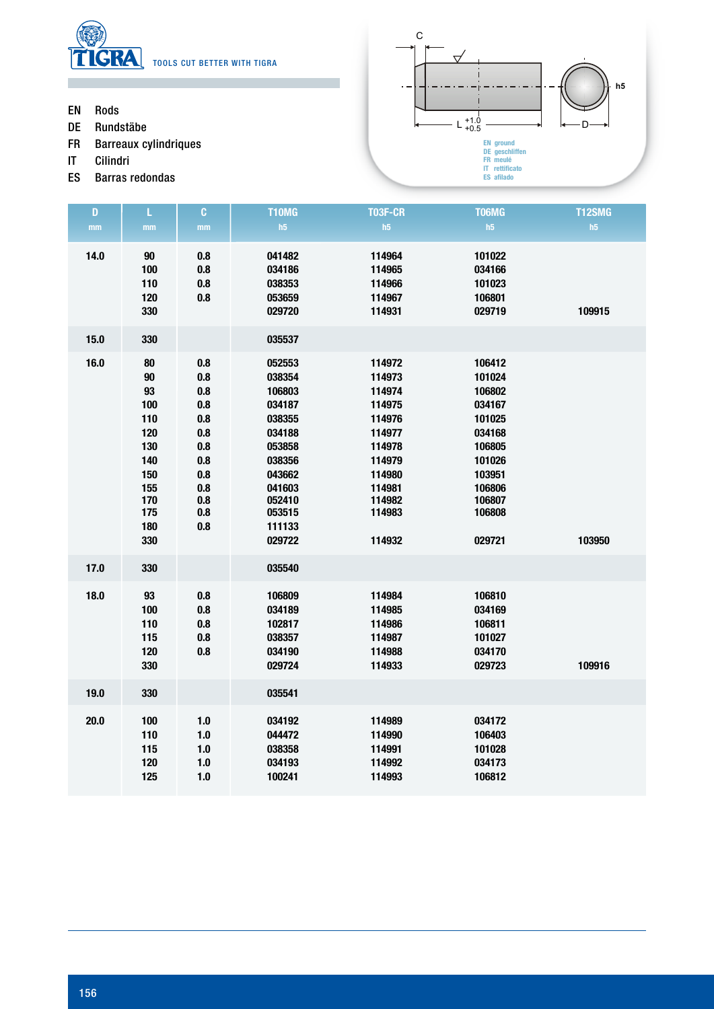

C ᠸ **h5** $\ddot{\phantom{a}}$  $L_{+0.5}^{+1.0}$   $\longrightarrow$   $\leftarrow$  D **EN ground DE geschliffen FR meulé IT rettificato ES afilado**

- Rods EN
- Rundstäbe DE
- Barreaux cylindriques FR
- Cilindri IT
- Barras redondas ES

| $\mathbf{D}$ | L                                                                                           | $\mathbf{C}$                                                                            | T10MG                                                                                                                                    | <b>T03F-CR</b>                                                                                                                 | <b>T06MG</b>                                                                                                                   | <b>T12SMG</b> |
|--------------|---------------------------------------------------------------------------------------------|-----------------------------------------------------------------------------------------|------------------------------------------------------------------------------------------------------------------------------------------|--------------------------------------------------------------------------------------------------------------------------------|--------------------------------------------------------------------------------------------------------------------------------|---------------|
| mm           | mm                                                                                          | mm                                                                                      | h5                                                                                                                                       | h5                                                                                                                             | h5                                                                                                                             | h5            |
| 14.0         | $90\,$<br>100<br>110<br>120<br>330                                                          | 0.8<br>0.8<br>0.8<br>0.8                                                                | 041482<br>034186<br>038353<br>053659<br>029720                                                                                           | 114964<br>114965<br>114966<br>114967<br>114931                                                                                 | 101022<br>034166<br>101023<br>106801<br>029719                                                                                 | 109915        |
| 15.0         | 330                                                                                         |                                                                                         | 035537                                                                                                                                   |                                                                                                                                |                                                                                                                                |               |
| 16.0         | 80<br>90<br>93<br>100<br>110<br>120<br>130<br>140<br>150<br>155<br>170<br>175<br>180<br>330 | 0.8<br>0.8<br>0.8<br>0.8<br>0.8<br>0.8<br>0.8<br>0.8<br>0.8<br>0.8<br>0.8<br>0.8<br>0.8 | 052553<br>038354<br>106803<br>034187<br>038355<br>034188<br>053858<br>038356<br>043662<br>041603<br>052410<br>053515<br>111133<br>029722 | 114972<br>114973<br>114974<br>114975<br>114976<br>114977<br>114978<br>114979<br>114980<br>114981<br>114982<br>114983<br>114932 | 106412<br>101024<br>106802<br>034167<br>101025<br>034168<br>106805<br>101026<br>103951<br>106806<br>106807<br>106808<br>029721 | 103950        |
| 17.0         | 330                                                                                         |                                                                                         | 035540                                                                                                                                   |                                                                                                                                |                                                                                                                                |               |
| 18.0         | 93<br>100<br>110<br>115<br>120<br>330                                                       | 0.8<br>0.8<br>$\bf 0.8$<br>0.8<br>0.8                                                   | 106809<br>034189<br>102817<br>038357<br>034190<br>029724                                                                                 | 114984<br>114985<br>114986<br>114987<br>114988<br>114933                                                                       | 106810<br>034169<br>106811<br>101027<br>034170<br>029723                                                                       | 109916        |
| 19.0         | 330                                                                                         |                                                                                         | 035541                                                                                                                                   |                                                                                                                                |                                                                                                                                |               |
| 20.0         | 100<br>110<br>115<br>120<br>125                                                             | $1.0$<br>$1.0\,$<br>$1.0\,$<br>$1.0\,$<br>$1.0$                                         | 034192<br>044472<br>038358<br>034193<br>100241                                                                                           | 114989<br>114990<br>114991<br>114992<br>114993                                                                                 | 034172<br>106403<br>101028<br>034173<br>106812                                                                                 |               |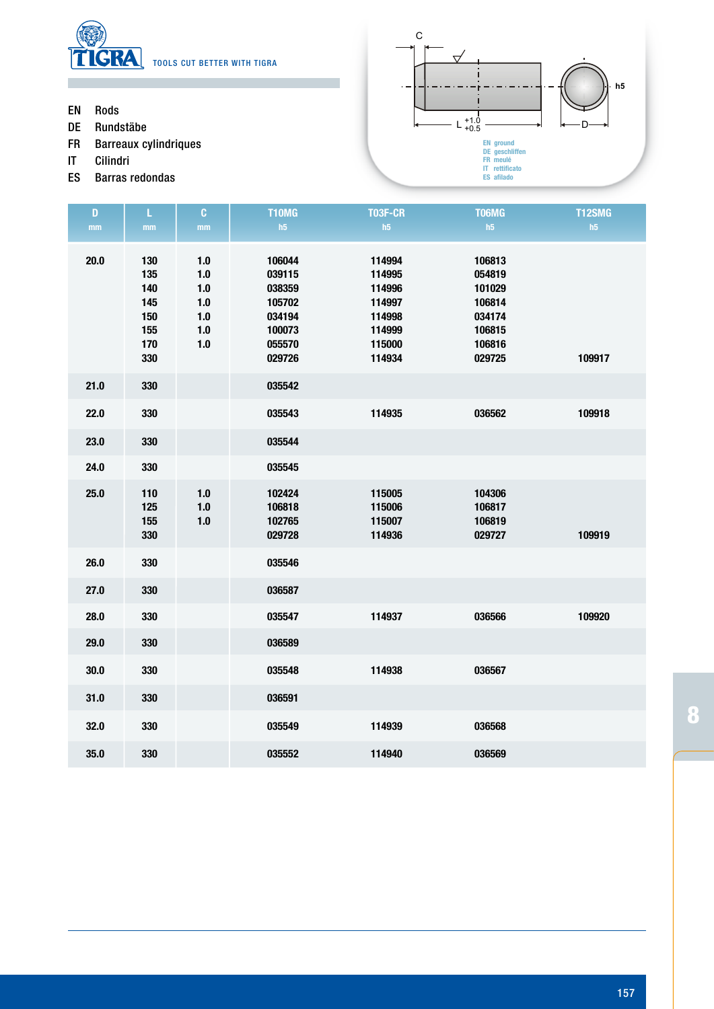

- Rods EN
- Rundstäbe DE
- Barreaux cylindriques FR
- Cilindri IT
- Barras redondas ES



| $\mathbf D$   | L                                                    | $\mathbf{C}$                                              | <b>T10MG</b>                                                                 | T03F-CR                                                                      | T06MG                                                                        | <b>T12SMG</b> |
|---------------|------------------------------------------------------|-----------------------------------------------------------|------------------------------------------------------------------------------|------------------------------------------------------------------------------|------------------------------------------------------------------------------|---------------|
| $\mathbf{mm}$ | $\mathbf{mm}$                                        | $\mathop{\rm mm}\nolimits$                                | h5                                                                           | h5                                                                           | h5                                                                           | h5            |
| 20.0          | 130<br>135<br>140<br>145<br>150<br>155<br>170<br>330 | 1.0<br>$1.0$<br>$1.0$<br>$1.0$<br>$1.0$<br>$1.0$<br>$1.0$ | 106044<br>039115<br>038359<br>105702<br>034194<br>100073<br>055570<br>029726 | 114994<br>114995<br>114996<br>114997<br>114998<br>114999<br>115000<br>114934 | 106813<br>054819<br>101029<br>106814<br>034174<br>106815<br>106816<br>029725 | 109917        |
| 21.0          | 330                                                  |                                                           | 035542                                                                       |                                                                              |                                                                              |               |
| 22.0          | 330                                                  |                                                           | 035543                                                                       | 114935                                                                       | 036562                                                                       | 109918        |
| 23.0          | 330                                                  |                                                           | 035544                                                                       |                                                                              |                                                                              |               |
| 24.0          | 330                                                  |                                                           | 035545                                                                       |                                                                              |                                                                              |               |
| 25.0          | 110<br>125<br>155<br>330                             | $1.0$<br>$1.0$<br>$1.0$                                   | 102424<br>106818<br>102765<br>029728                                         | 115005<br>115006<br>115007<br>114936                                         | 104306<br>106817<br>106819<br>029727                                         | 109919        |
| 26.0          | 330                                                  |                                                           | 035546                                                                       |                                                                              |                                                                              |               |
| 27.0          | 330                                                  |                                                           | 036587                                                                       |                                                                              |                                                                              |               |
| 28.0          | 330                                                  |                                                           | 035547                                                                       | 114937                                                                       | 036566                                                                       | 109920        |
| 29.0          | 330                                                  |                                                           | 036589                                                                       |                                                                              |                                                                              |               |
| 30.0          | 330                                                  |                                                           | 035548                                                                       | 114938                                                                       | 036567                                                                       |               |
| 31.0          | 330                                                  |                                                           | 036591                                                                       |                                                                              |                                                                              |               |
| 32.0          | 330                                                  |                                                           | 035549                                                                       | 114939                                                                       | 036568                                                                       |               |
| 35.0          | 330                                                  |                                                           | 035552                                                                       | 114940                                                                       | 036569                                                                       |               |